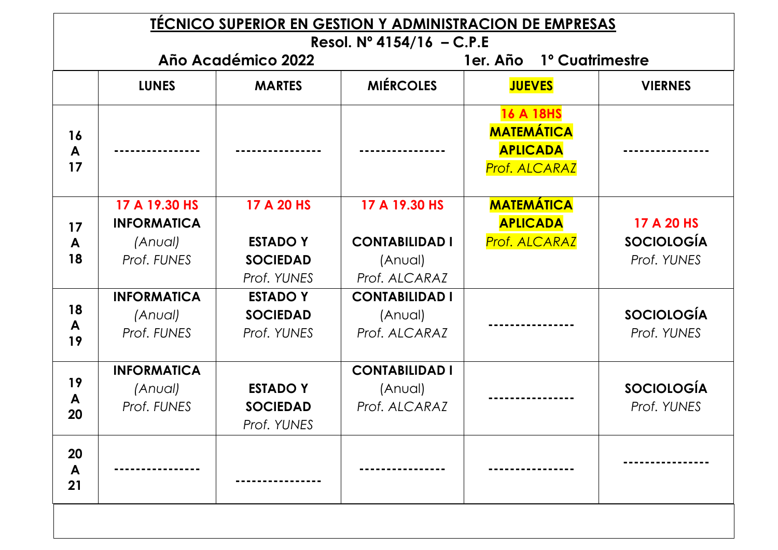|               |                                                               |                                                                 | Resol. $N^{\circ}$ 4154/16 - C.P.E                                 | <b>TECNICO SUPERIOR EN GESTION Y ADMINISTRACION DE EMPRESAS</b>           |                                                |
|---------------|---------------------------------------------------------------|-----------------------------------------------------------------|--------------------------------------------------------------------|---------------------------------------------------------------------------|------------------------------------------------|
|               |                                                               | Año Académico 2022                                              |                                                                    | 1º Cuatrimestre<br>1er. Año                                               |                                                |
|               | <b>LUNES</b>                                                  | <b>MARTES</b>                                                   | <b>MIÉRCOLES</b>                                                   | <b>JUEVES</b>                                                             | <b>VIERNES</b>                                 |
| 16<br>A<br>17 |                                                               |                                                                 |                                                                    | <b>16 A 18HS</b><br><b>MATEMÁTICA</b><br><b>APLICADA</b><br>Prof. ALCARAZ |                                                |
| 17<br>A<br>18 | 17 A 19.30 HS<br><b>INFORMATICA</b><br>(Anual)<br>Prof. FUNES | 17 A 20 HS<br><b>ESTADO Y</b><br><b>SOCIEDAD</b><br>Prof. YUNES | 17 A 19.30 HS<br><b>CONTABILIDAD I</b><br>(Anual)<br>Prof. ALCARAZ | <b>MATEMÁTICA</b><br><b>APLICADA</b><br>Prof. ALCARAZ                     | 17 A 20 HS<br><b>SOCIOLOGÍA</b><br>Prof. YUNES |
| 18<br>A<br>19 | <b>INFORMATICA</b><br>(Anual)<br>Prof. FUNES                  | <b>ESTADO Y</b><br><b>SOCIEDAD</b><br>Prof. YUNES               | <b>CONTABILIDAD I</b><br>(Anual)<br>Prof. ALCARAZ                  |                                                                           | <b>SOCIOLOGÍA</b><br>Prof. YUNES               |
| 19<br>A<br>20 | <b>INFORMATICA</b><br>(Anual)<br>Prof. FUNES                  | <b>ESTADO Y</b><br><b>SOCIEDAD</b><br>Prof. YUNES               | <b>CONTABILIDAD I</b><br>(Anual)<br>Prof. ALCARAZ                  |                                                                           | <b>SOCIOLOGÍA</b><br>Prof. YUNES               |
| 20<br>A<br>21 |                                                               |                                                                 |                                                                    |                                                                           |                                                |
|               |                                                               |                                                                 |                                                                    |                                                                           |                                                |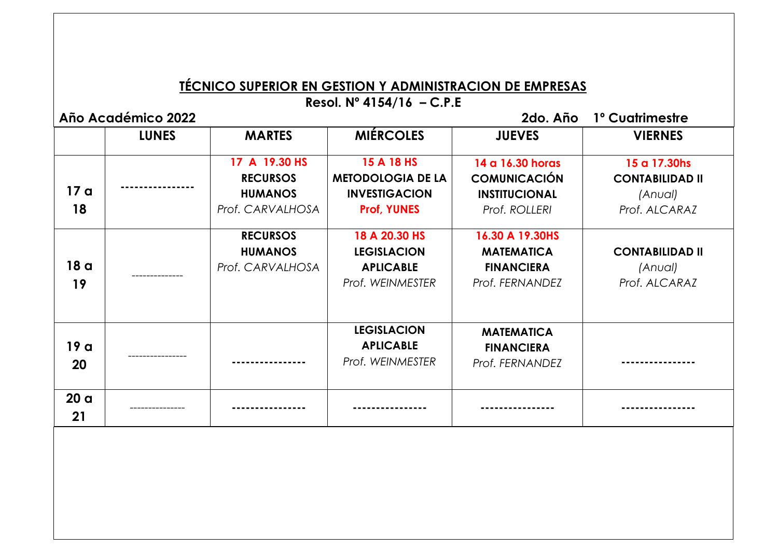## **TÉCNICO SUPERIOR EN GESTION Y ADMINISTRACION DE EMPRESAS**

**Resol. Nº 4154/16 – C.P.E**

**Año Académico 2022 2do. Año 1º Cuatrimestre** 

|                       | <b>LUNES</b> | <b>MARTES</b>                                                          | <b>MIÉRCOLES</b>                                                                     | <b>JUEVES</b>                                                                    | <b>VIERNES</b>                                                     |
|-----------------------|--------------|------------------------------------------------------------------------|--------------------------------------------------------------------------------------|----------------------------------------------------------------------------------|--------------------------------------------------------------------|
| 17 a<br>18            |              | 17 A 19.30 HS<br><b>RECURSOS</b><br><b>HUMANOS</b><br>Prof. CARVALHOSA | 15 A 18 HS<br><b>METODOLOGIA DE LA</b><br><b>INVESTIGACION</b><br><b>Prof, YUNES</b> | 14 a 16.30 horas<br><b>COMUNICACIÓN</b><br><b>INSTITUCIONAL</b><br>Prof. ROLLERI | 15 a 17.30hs<br><b>CONTABILIDAD II</b><br>(Anual)<br>Prof. ALCARAZ |
| 18 a<br>19            |              | <b>RECURSOS</b><br><b>HUMANOS</b><br>Prof. CARVALHOSA                  | 18 A 20.30 HS<br><b>LEGISLACION</b><br><b>APLICABLE</b><br>Prof. WEINMESTER          | 16.30 A 19.30HS<br><b>MATEMATICA</b><br><b>FINANCIERA</b><br>Prof. FERNANDEZ     | <b>CONTABILIDAD II</b><br>(Anual)<br>Prof. ALCARAZ                 |
| 19a<br>20             |              |                                                                        | <b>LEGISLACION</b><br><b>APLICABLE</b><br>Prof. WEINMESTER                           | <b>MATEMATICA</b><br><b>FINANCIERA</b><br>Prof. FERNANDEZ                        |                                                                    |
| 20 <sub>a</sub><br>21 |              |                                                                        |                                                                                      |                                                                                  |                                                                    |